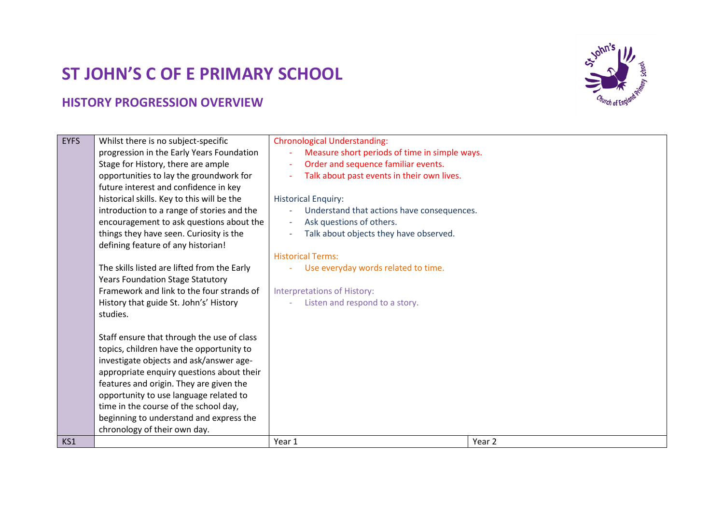## **ST JOHN'S C OF E PRIMARY SCHOOL**

## **HISTORY PROGRESSION OVERVIEW**



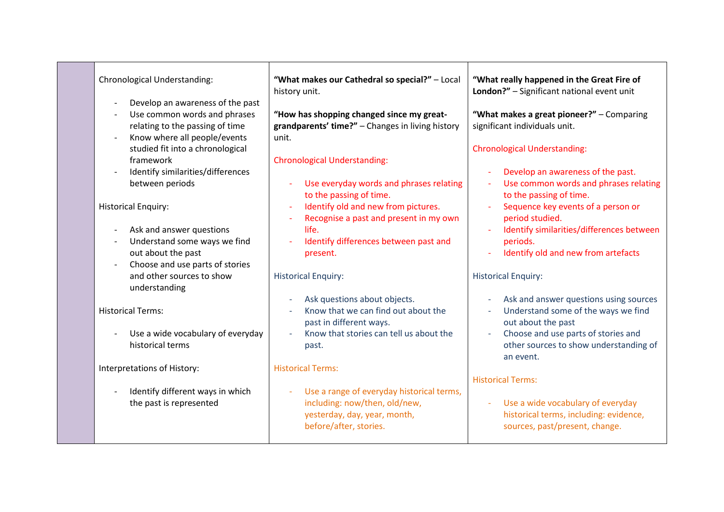| Chronological Understanding:                                                                                                                                                                                                                                   | "What makes our Cathedral so special?" - Local<br>history unit.                                                                                                                                                     | "What really happened in the Great Fire of<br>London?" - Significant national event unit                                                                                                                                                     |  |  |
|----------------------------------------------------------------------------------------------------------------------------------------------------------------------------------------------------------------------------------------------------------------|---------------------------------------------------------------------------------------------------------------------------------------------------------------------------------------------------------------------|----------------------------------------------------------------------------------------------------------------------------------------------------------------------------------------------------------------------------------------------|--|--|
| Develop an awareness of the past<br>Use common words and phrases<br>relating to the passing of time<br>Know where all people/events<br>studied fit into a chronological<br>framework<br>Identify similarities/differences<br>$\overline{a}$<br>between periods | "How has shopping changed since my great-<br>grandparents' time?" - Changes in living history<br>unit.<br><b>Chronological Understanding:</b><br>Use everyday words and phrases relating<br>to the passing of time. | "What makes a great pioneer?" - Comparing<br>significant individuals unit.<br><b>Chronological Understanding:</b><br>Develop an awareness of the past.<br>$\blacksquare$<br>Use common words and phrases relating<br>to the passing of time. |  |  |
| <b>Historical Enquiry:</b><br>Ask and answer questions<br>Understand some ways we find<br>out about the past<br>Choose and use parts of stories<br>$\overline{\phantom{a}}$                                                                                    | Identify old and new from pictures.<br>Recognise a past and present in my own<br>life.<br>Identify differences between past and<br>present.                                                                         | Sequence key events of a person or<br>period studied.<br>Identify similarities/differences between<br>periods.<br>Identify old and new from artefacts                                                                                        |  |  |
| and other sources to show<br>understanding                                                                                                                                                                                                                     | <b>Historical Enquiry:</b><br>Ask questions about objects.                                                                                                                                                          | <b>Historical Enquiry:</b><br>Ask and answer questions using sources<br>$\overline{\phantom{a}}$                                                                                                                                             |  |  |
| <b>Historical Terms:</b>                                                                                                                                                                                                                                       | Know that we can find out about the<br>past in different ways.                                                                                                                                                      | Understand some of the ways we find<br>out about the past                                                                                                                                                                                    |  |  |
| Use a wide vocabulary of everyday<br>historical terms                                                                                                                                                                                                          | Know that stories can tell us about the<br>$\sim$<br>past.                                                                                                                                                          | Choose and use parts of stories and<br>other sources to show understanding of<br>an event.                                                                                                                                                   |  |  |
| Interpretations of History:                                                                                                                                                                                                                                    | <b>Historical Terms:</b>                                                                                                                                                                                            | <b>Historical Terms:</b>                                                                                                                                                                                                                     |  |  |
| Identify different ways in which<br>the past is represented                                                                                                                                                                                                    | Use a range of everyday historical terms,<br>including: now/then, old/new,<br>yesterday, day, year, month,<br>before/after, stories.                                                                                | Use a wide vocabulary of everyday<br>$\equiv$<br>historical terms, including: evidence,<br>sources, past/present, change.                                                                                                                    |  |  |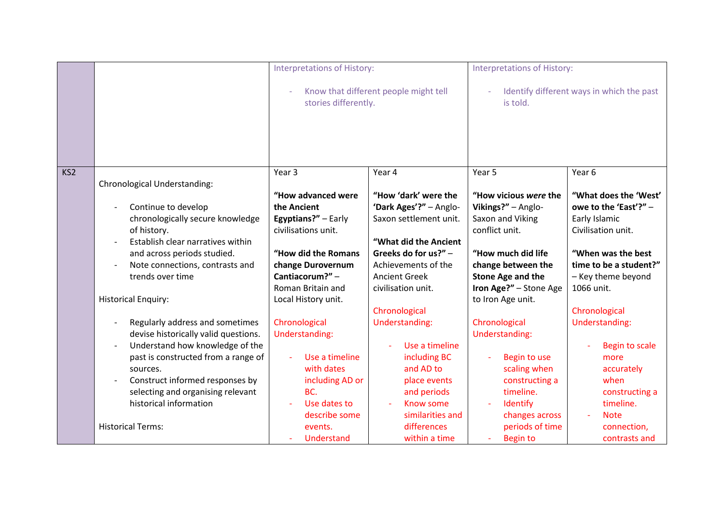|                 |                                      | Interpretations of History:                                   |                        | <b>Interpretations of History:</b>                    |                        |
|-----------------|--------------------------------------|---------------------------------------------------------------|------------------------|-------------------------------------------------------|------------------------|
|                 |                                      | Know that different people might tell<br>stories differently. |                        | Identify different ways in which the past<br>is told. |                        |
| KS <sub>2</sub> |                                      | Year <sub>3</sub>                                             | Year 4                 | Year 5                                                | Year 6                 |
|                 | <b>Chronological Understanding:</b>  |                                                               |                        |                                                       |                        |
|                 |                                      | "How advanced were                                            | "How 'dark' were the   | "How vicious were the                                 | "What does the 'West'  |
|                 | Continue to develop                  | the Ancient                                                   | 'Dark Ages'?" - Anglo- | Vikings?" - Anglo-                                    | owe to the 'East'?" -  |
|                 | chronologically secure knowledge     | Egyptians?" - Early                                           | Saxon settlement unit. | Saxon and Viking                                      | Early Islamic          |
|                 | of history.                          | civilisations unit.                                           |                        | conflict unit.                                        | Civilisation unit.     |
|                 | Establish clear narratives within    |                                                               | "What did the Ancient  |                                                       |                        |
|                 | and across periods studied.          | "How did the Romans                                           | Greeks do for us?" -   | "How much did life                                    | "When was the best     |
|                 | Note connections, contrasts and      | change Durovernum                                             | Achievements of the    | change between the                                    | time to be a student?" |
|                 | trends over time                     | Cantiacorum?" -                                               | <b>Ancient Greek</b>   | Stone Age and the                                     | - Key theme beyond     |
|                 |                                      | Roman Britain and                                             | civilisation unit.     | Iron Age?" - Stone Age                                | 1066 unit.             |
|                 | <b>Historical Enquiry:</b>           | Local History unit.                                           |                        | to Iron Age unit.                                     |                        |
|                 |                                      |                                                               | Chronological          |                                                       | Chronological          |
|                 | Regularly address and sometimes      | Chronological                                                 | Understanding:         | Chronological                                         | Understanding:         |
|                 | devise historically valid questions. | Understanding:                                                |                        | Understanding:                                        |                        |
|                 | Understand how knowledge of the      |                                                               | Use a timeline         |                                                       | Begin to scale         |
|                 | past is constructed from a range of  | Use a timeline                                                | including BC           | Begin to use                                          | more                   |
|                 | sources.                             | with dates                                                    | and AD to              | scaling when                                          | accurately             |
|                 | Construct informed responses by      | including AD or                                               | place events           | constructing a                                        | when                   |
|                 | selecting and organising relevant    | BC.                                                           | and periods            | timeline.                                             | constructing a         |
|                 | historical information               | Use dates to                                                  | <b>Know some</b>       | Identify                                              | timeline.              |
|                 |                                      | describe some                                                 | similarities and       | changes across                                        | <b>Note</b><br>$\sim$  |
|                 | <b>Historical Terms:</b>             | events.                                                       | differences            | periods of time                                       | connection,            |
|                 |                                      | Understand                                                    | within a time          | <b>Begin to</b>                                       | contrasts and          |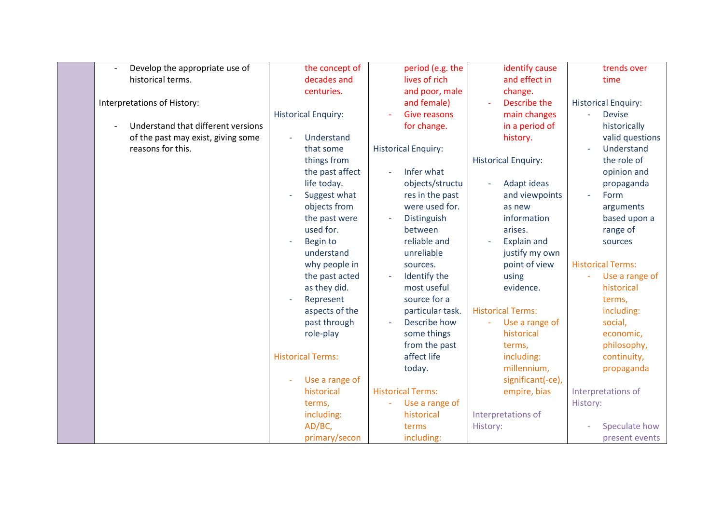| Develop the appropriate use of     | the concept of             | period (e.g. the                           | identify cause             | trends over                               |
|------------------------------------|----------------------------|--------------------------------------------|----------------------------|-------------------------------------------|
| historical terms.                  | decades and                | lives of rich                              | and effect in              | time                                      |
|                                    | centuries.                 |                                            |                            |                                           |
|                                    |                            | and poor, male                             | change.<br>Describe the    |                                           |
| Interpretations of History:        |                            | and female)                                |                            | <b>Historical Enquiry:</b>                |
|                                    | <b>Historical Enquiry:</b> | <b>Give reasons</b>                        | main changes               | <b>Devise</b><br>$\overline{\phantom{0}}$ |
| Understand that different versions |                            | for change.                                | in a period of             | historically                              |
| of the past may exist, giving some | Understand                 |                                            | history.                   | valid questions                           |
| reasons for this.                  | that some                  | <b>Historical Enquiry:</b>                 |                            | Understand                                |
|                                    | things from                |                                            | <b>Historical Enquiry:</b> | the role of                               |
|                                    | the past affect            | Infer what                                 |                            | opinion and                               |
|                                    | life today.                | objects/structu                            | Adapt ideas                | propaganda                                |
|                                    | Suggest what               | res in the past                            | and viewpoints             | Form<br>$\overline{\phantom{a}}$          |
|                                    | objects from               | were used for.                             | as new                     | arguments                                 |
|                                    | the past were              | Distinguish                                | information                | based upon a                              |
|                                    | used for.                  | between                                    | arises.                    | range of                                  |
|                                    | Begin to<br>÷,             | reliable and                               | <b>Explain and</b>         | sources                                   |
|                                    | understand                 | unreliable                                 | justify my own             |                                           |
|                                    | why people in              | sources.                                   | point of view              | <b>Historical Terms:</b>                  |
|                                    | the past acted             | Identify the                               | using                      | Use a range of                            |
|                                    | as they did.               | most useful                                | evidence.                  | historical                                |
|                                    | Represent                  | source for a                               |                            | terms,                                    |
|                                    | aspects of the             | particular task.                           | <b>Historical Terms:</b>   | including:                                |
|                                    | past through               | Describe how                               | Use a range of             | social,                                   |
|                                    | role-play                  | some things                                | historical                 | economic,                                 |
|                                    |                            |                                            |                            |                                           |
|                                    |                            | from the past                              | terms,                     | philosophy,                               |
|                                    | <b>Historical Terms:</b>   | affect life                                | including:                 | continuity,                               |
|                                    |                            | today.                                     | millennium,                | propaganda                                |
|                                    | Use a range of             |                                            | significant(-ce),          |                                           |
|                                    | historical                 | <b>Historical Terms:</b>                   | empire, bias               | Interpretations of                        |
|                                    | terms,                     | Use a range of<br>$\overline{\phantom{a}}$ |                            | History:                                  |
|                                    | including:                 | historical                                 | Interpretations of         |                                           |
|                                    | AD/BC,                     | terms                                      | History:                   | Speculate how                             |
|                                    | primary/secon              | including:                                 |                            | present events                            |